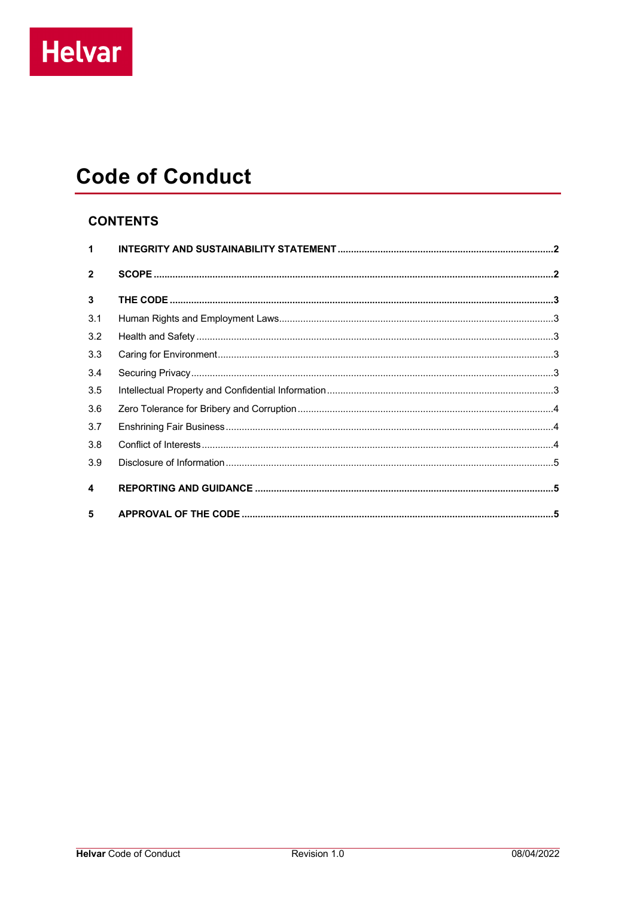# **Code of Conduct**

## **CONTENTS**

| $\mathbf 1$             |  |
|-------------------------|--|
| $\overline{2}$          |  |
| $\mathbf{3}$            |  |
| 3.1                     |  |
| 3.2                     |  |
| 3.3                     |  |
| 3.4                     |  |
| 3.5                     |  |
| 3.6                     |  |
| 3.7                     |  |
| 3.8                     |  |
| 3.9                     |  |
| $\overline{\mathbf{4}}$ |  |
| 5                       |  |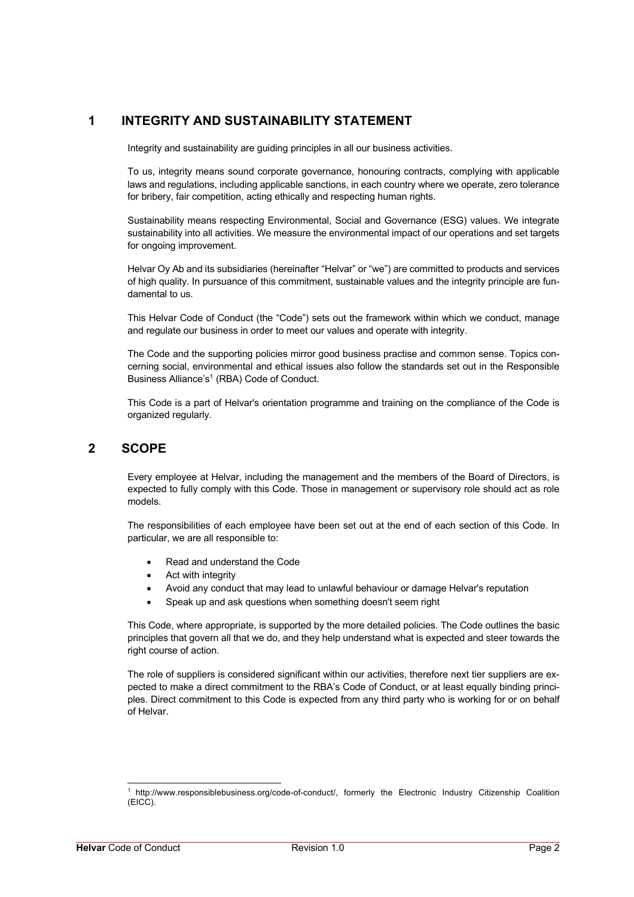## **1 INTEGRITY AND SUSTAINABILITY STATEMENT**

Integrity and sustainability are guiding principles in all our business activities.

To us, integrity means sound corporate governance, honouring contracts, complying with applicable laws and regulations, including applicable sanctions, in each country where we operate, zero tolerance for bribery, fair competition, acting ethically and respecting human rights.

Sustainability means respecting Environmental, Social and Governance (ESG) values. We integrate sustainability into all activities. We measure the environmental impact of our operations and set targets for ongoing improvement.

Helvar Oy Ab and its subsidiaries (hereinafter "Helvar" or "we") are committed to products and services of high quality. In pursuance of this commitment, sustainable values and the integrity principle are fundamental to us.

This Helvar Code of Conduct (the "Code") sets out the framework within which we conduct, manage and regulate our business in order to meet our values and operate with integrity.

The Code and the supporting policies mirror good business practise and common sense. Topics concerning social, environmental and ethical issues also follow the standards set out in the Responsible Business Alliance's<sup>1</sup> (RBA) Code of Conduct.

This Code is a part of Helvar's orientation programme and training on the compliance of the Code is organized regularly.

### **2 SCOPE**

Every employee at Helvar, including the management and the members of the Board of Directors, is expected to fully comply with this Code. Those in management or supervisory role should act as role models.

The responsibilities of each employee have been set out at the end of each section of this Code. In particular, we are all responsible to:

- Read and understand the Code
- Act with integrity
- Avoid any conduct that may lead to unlawful behaviour or damage Helvar's reputation
- Speak up and ask questions when something doesn't seem right

This Code, where appropriate, is supported by the more detailed policies. The Code outlines the basic principles that govern all that we do, and they help understand what is expected and steer towards the right course of action.

The role of suppliers is considered significant within our activities, therefore next tier suppliers are expected to make a direct commitment to the RBA's Code of Conduct, or at least equally binding principles. Direct commitment to this Code is expected from any third party who is working for or on behalf of Helvar.

<sup>1</sup> http://www.responsiblebusiness.org/code-of-conduct/, formerly the Electronic Industry Citizenship Coalition (EICC).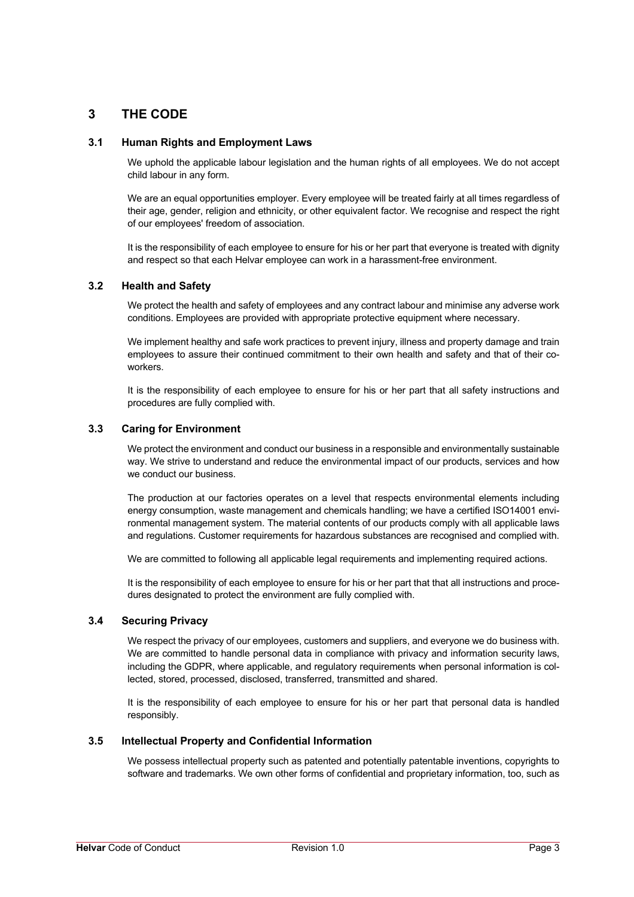## **3 THE CODE**

#### **3.1 Human Rights and Employment Laws**

We uphold the applicable labour legislation and the human rights of all employees. We do not accept child labour in any form.

We are an equal opportunities employer. Every employee will be treated fairly at all times regardless of their age, gender, religion and ethnicity, or other equivalent factor. We recognise and respect the right of our employees' freedom of association.

It is the responsibility of each employee to ensure for his or her part that everyone is treated with dignity and respect so that each Helvar employee can work in a harassment-free environment.

#### **3.2 Health and Safety**

We protect the health and safety of employees and any contract labour and minimise any adverse work conditions. Employees are provided with appropriate protective equipment where necessary.

We implement healthy and safe work practices to prevent injury, illness and property damage and train employees to assure their continued commitment to their own health and safety and that of their coworkers.

It is the responsibility of each employee to ensure for his or her part that all safety instructions and procedures are fully complied with.

#### **3.3 Caring for Environment**

We protect the environment and conduct our business in a responsible and environmentally sustainable way. We strive to understand and reduce the environmental impact of our products, services and how we conduct our business.

The production at our factories operates on a level that respects environmental elements including energy consumption, waste management and chemicals handling; we have a certified ISO14001 environmental management system. The material contents of our products comply with all applicable laws and regulations. Customer requirements for hazardous substances are recognised and complied with.

We are committed to following all applicable legal requirements and implementing required actions.

It is the responsibility of each employee to ensure for his or her part that that all instructions and procedures designated to protect the environment are fully complied with.

#### **3.4 Securing Privacy**

We respect the privacy of our employees, customers and suppliers, and everyone we do business with. We are committed to handle personal data in compliance with privacy and information security laws, including the GDPR, where applicable, and regulatory requirements when personal information is collected, stored, processed, disclosed, transferred, transmitted and shared.

It is the responsibility of each employee to ensure for his or her part that personal data is handled responsibly.

#### **3.5 Intellectual Property and Confidential Information**

We possess intellectual property such as patented and potentially patentable inventions, copyrights to software and trademarks. We own other forms of confidential and proprietary information, too, such as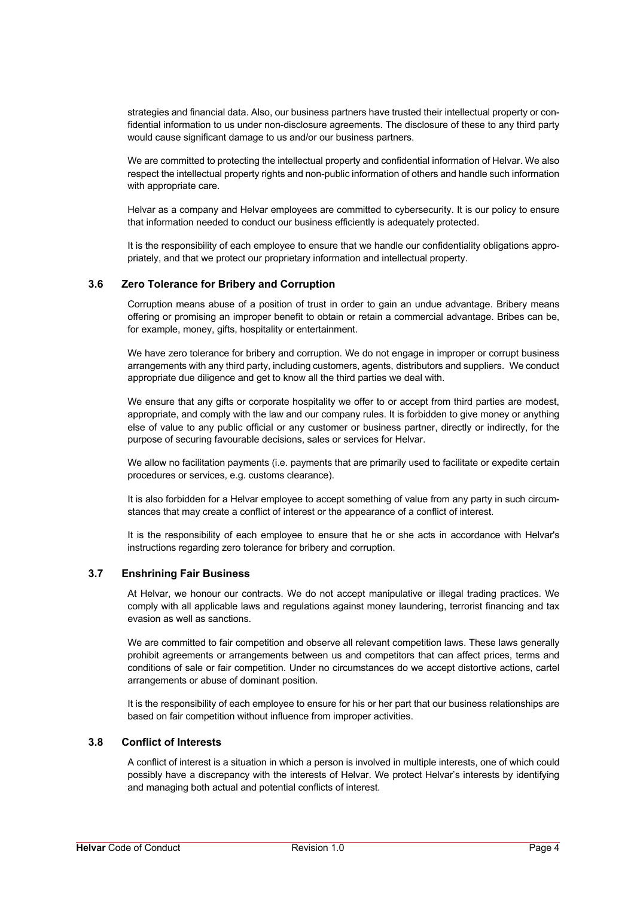strategies and financial data. Also, our business partners have trusted their intellectual property or confidential information to us under non-disclosure agreements. The disclosure of these to any third party would cause significant damage to us and/or our business partners.

We are committed to protecting the intellectual property and confidential information of Helvar. We also respect the intellectual property rights and non-public information of others and handle such information with appropriate care.

Helvar as a company and Helvar employees are committed to cybersecurity. It is our policy to ensure that information needed to conduct our business efficiently is adequately protected.

It is the responsibility of each employee to ensure that we handle our confidentiality obligations appropriately, and that we protect our proprietary information and intellectual property.

#### **3.6 Zero Tolerance for Bribery and Corruption**

Corruption means abuse of a position of trust in order to gain an undue advantage. Bribery means offering or promising an improper benefit to obtain or retain a commercial advantage. Bribes can be, for example, money, gifts, hospitality or entertainment.

We have zero tolerance for bribery and corruption. We do not engage in improper or corrupt business arrangements with any third party, including customers, agents, distributors and suppliers. We conduct appropriate due diligence and get to know all the third parties we deal with.

We ensure that any gifts or corporate hospitality we offer to or accept from third parties are modest, appropriate, and comply with the law and our company rules. It is forbidden to give money or anything else of value to any public official or any customer or business partner, directly or indirectly, for the purpose of securing favourable decisions, sales or services for Helvar.

We allow no facilitation payments (i.e. payments that are primarily used to facilitate or expedite certain procedures or services, e.g. customs clearance).

It is also forbidden for a Helvar employee to accept something of value from any party in such circumstances that may create a conflict of interest or the appearance of a conflict of interest.

It is the responsibility of each employee to ensure that he or she acts in accordance with Helvar's instructions regarding zero tolerance for bribery and corruption.

#### **3.7 Enshrining Fair Business**

At Helvar, we honour our contracts. We do not accept manipulative or illegal trading practices. We comply with all applicable laws and regulations against money laundering, terrorist financing and tax evasion as well as sanctions.

We are committed to fair competition and observe all relevant competition laws. These laws generally prohibit agreements or arrangements between us and competitors that can affect prices, terms and conditions of sale or fair competition. Under no circumstances do we accept distortive actions, cartel arrangements or abuse of dominant position.

It is the responsibility of each employee to ensure for his or her part that our business relationships are based on fair competition without influence from improper activities.

#### **3.8 Conflict of Interests**

A conflict of interest is a situation in which a person is involved in multiple interests, one of which could possibly have a discrepancy with the interests of Helvar. We protect Helvar's interests by identifying and managing both actual and potential conflicts of interest.